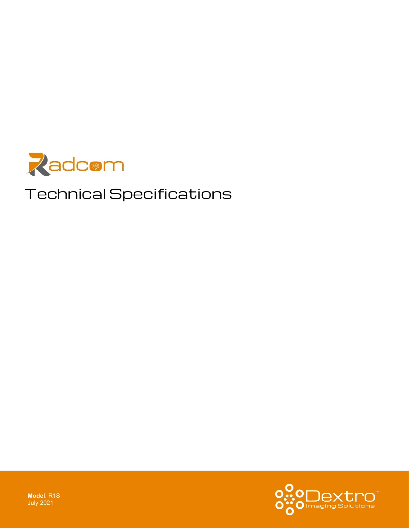

# Technical Specifications



**Model**: R1S July 2021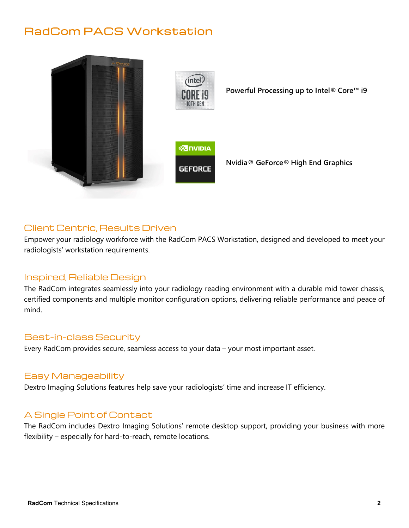# RadCom PACS Workstation



## Client Centric, Results Driven

Empower your radiology workforce with the RadCom PACS Workstation, designed and developed to meet your radiologists' workstation requirements.

### Inspired, Reliable Design

The RadCom integrates seamlessly into your radiology reading environment with a durable mid tower chassis, certified components and multiple monitor configuration options, delivering reliable performance and peace of mind.

#### Best-in-class Security

Every RadCom provides secure, seamless access to your data – your most important asset.

#### Easy Manageability

Dextro Imaging Solutions features help save your radiologists' time and increase IT efficiency.

### A Single Point of Contact

The RadCom includes Dextro Imaging Solutions' remote desktop support, providing your business with more flexibility – especially for hard-to-reach, remote locations.